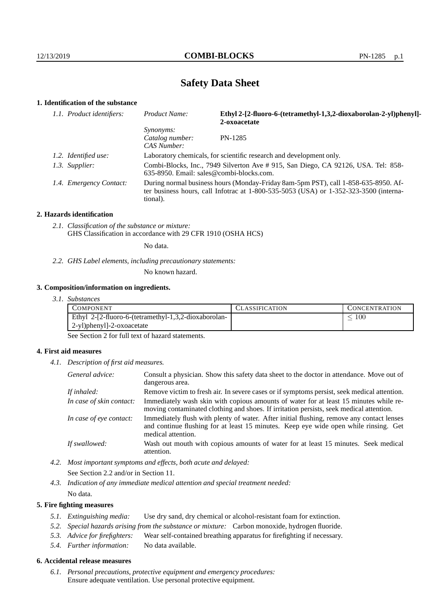# **Safety Data Sheet**

# **1. Identification of the substance**

| 1.1. Product identifiers: | Product Name:                                                                                                                                                                               | Ethyl 2-[2-fluoro-6-(tetramethyl-1,3,2-dioxaborolan-2-yl)phenyl]-<br>2-oxoacetate |
|---------------------------|---------------------------------------------------------------------------------------------------------------------------------------------------------------------------------------------|-----------------------------------------------------------------------------------|
|                           | <i>Synonyms:</i><br>Catalog number:<br>CAS Number:                                                                                                                                          | PN-1285                                                                           |
| 1.2. Identified use:      | Laboratory chemicals, for scientific research and development only.                                                                                                                         |                                                                                   |
| 1.3. Supplier:            | Combi-Blocks, Inc., 7949 Silverton Ave # 915, San Diego, CA 92126, USA. Tel: 858-<br>$635-8950$ . Email: sales@combi-blocks.com.                                                            |                                                                                   |
| 1.4. Emergency Contact:   | During normal business hours (Monday-Friday 8am-5pm PST), call 1-858-635-8950. Af-<br>ter business hours, call Infotrac at $1-800-535-5053$ (USA) or $1-352-323-3500$ (interna-<br>tional). |                                                                                   |

#### **2. Hazards identification**

*2.1. Classification of the substance or mixture:* GHS Classification in accordance with 29 CFR 1910 (OSHA HCS)

No data.

*2.2. GHS Label elements, including precautionary statements:*

No known hazard.

#### **3. Composition/information on ingredients.**

*3.1. Substances*

| COMPONENT                                            | CLASSIFICATION. | CONCENTRATION |
|------------------------------------------------------|-----------------|---------------|
| Ethyl 2-[2-fluoro-6-(tetramethyl-1,3,2-dioxaborolan- |                 | 100           |
| 2-yl)phenyl]-2-oxoacetate                            |                 |               |

See Section 2 for full text of hazard statements.

## **4. First aid measures**

*4.1. Description of first aid measures.*

| General advice:          | Consult a physician. Show this safety data sheet to the doctor in attendance. Move out of<br>dangerous area.                                                                                            |
|--------------------------|---------------------------------------------------------------------------------------------------------------------------------------------------------------------------------------------------------|
| If inhaled:              | Remove victim to fresh air. In severe cases or if symptoms persist, seek medical attention.                                                                                                             |
| In case of skin contact: | Immediately wash skin with copious amounts of water for at least 15 minutes while re-<br>moving contaminated clothing and shoes. If irritation persists, seek medical attention.                        |
| In case of eye contact:  | Immediately flush with plenty of water. After initial flushing, remove any contact lenses<br>and continue flushing for at least 15 minutes. Keep eye wide open while rinsing. Get<br>medical attention. |
| If swallowed:            | Wash out mouth with copious amounts of water for at least 15 minutes. Seek medical<br>attention.                                                                                                        |

*4.2. Most important symptoms and effects, both acute and delayed:* See Section 2.2 and/or in Section 11.

*4.3. Indication of any immediate medical attention and special treatment needed:* No data.

## **5. Fire fighting measures**

- *5.1. Extinguishing media:* Use dry sand, dry chemical or alcohol-resistant foam for extinction.
- *5.2. Special hazards arising from the substance or mixture:* Carbon monoxide, hydrogen fluoride.
- *5.3. Advice for firefighters:* Wear self-contained breathing apparatus for firefighting if necessary.
- *5.4. Further information:* No data available.

# **6. Accidental release measures**

*6.1. Personal precautions, protective equipment and emergency procedures:* Ensure adequate ventilation. Use personal protective equipment.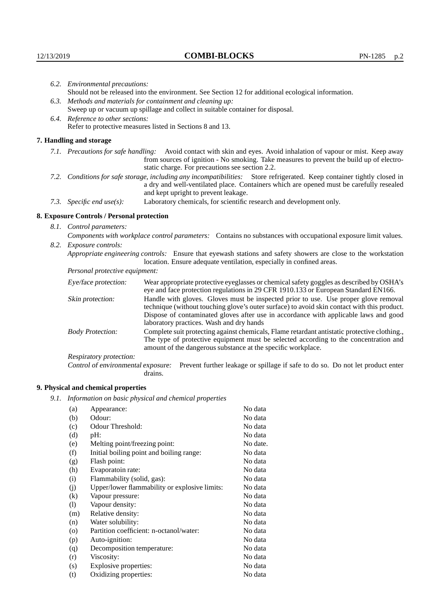|                          | 6.2. Environmental precautions:                                                                                                                                                                                                                                    |                                                                                                                                                                                                                                                                            |  |  |  |
|--------------------------|--------------------------------------------------------------------------------------------------------------------------------------------------------------------------------------------------------------------------------------------------------------------|----------------------------------------------------------------------------------------------------------------------------------------------------------------------------------------------------------------------------------------------------------------------------|--|--|--|
|                          | Should not be released into the environment. See Section 12 for additional ecological information.                                                                                                                                                                 |                                                                                                                                                                                                                                                                            |  |  |  |
|                          | 6.3. Methods and materials for containment and cleaning up:                                                                                                                                                                                                        |                                                                                                                                                                                                                                                                            |  |  |  |
|                          | Sweep up or vacuum up spillage and collect in suitable container for disposal.                                                                                                                                                                                     |                                                                                                                                                                                                                                                                            |  |  |  |
|                          | 6.4. Reference to other sections:                                                                                                                                                                                                                                  |                                                                                                                                                                                                                                                                            |  |  |  |
|                          |                                                                                                                                                                                                                                                                    | Refer to protective measures listed in Sections 8 and 13.                                                                                                                                                                                                                  |  |  |  |
|                          | 7. Handling and storage                                                                                                                                                                                                                                            |                                                                                                                                                                                                                                                                            |  |  |  |
|                          | 7.1. Precautions for safe handling: Avoid contact with skin and eyes. Avoid inhalation of vapour or mist. Keep away<br>from sources of ignition - No smoking. Take measures to prevent the build up of electro-<br>static charge. For precautions see section 2.2. |                                                                                                                                                                                                                                                                            |  |  |  |
|                          | 7.2. Conditions for safe storage, including any incompatibilities: Store refrigerated. Keep container tightly closed in<br>a dry and well-ventilated place. Containers which are opened must be carefully resealed<br>and kept upright to prevent leakage.         |                                                                                                                                                                                                                                                                            |  |  |  |
|                          | 7.3. Specific end use(s):                                                                                                                                                                                                                                          | Laboratory chemicals, for scientific research and development only.                                                                                                                                                                                                        |  |  |  |
|                          | 8. Exposure Controls / Personal protection                                                                                                                                                                                                                         |                                                                                                                                                                                                                                                                            |  |  |  |
| 8.1. Control parameters: |                                                                                                                                                                                                                                                                    |                                                                                                                                                                                                                                                                            |  |  |  |
|                          | Components with workplace control parameters: Contains no substances with occupational exposure limit values.                                                                                                                                                      |                                                                                                                                                                                                                                                                            |  |  |  |
|                          | 8.2. Exposure controls:                                                                                                                                                                                                                                            |                                                                                                                                                                                                                                                                            |  |  |  |
|                          | Appropriate engineering controls: Ensure that eyewash stations and safety showers are close to the workstation<br>location. Ensure adequate ventilation, especially in confined areas.                                                                             |                                                                                                                                                                                                                                                                            |  |  |  |
|                          | Personal protective equipment:                                                                                                                                                                                                                                     |                                                                                                                                                                                                                                                                            |  |  |  |
|                          | Eye/face protection:                                                                                                                                                                                                                                               | Wear appropriate protective eyeglasses or chemical safety goggles as described by OSHA's<br>eye and face protection regulations in 29 CFR 1910.133 or European Standard EN166.                                                                                             |  |  |  |
|                          | Skin protection:                                                                                                                                                                                                                                                   | Handle with gloves. Gloves must be inspected prior to use. Use proper glove removal<br>technique (without touching glove's outer surface) to avoid skin contact with this product.<br>Dispose of contaminated gloves after use in accordance with applicable laws and good |  |  |  |

# **8. Exposure Controls / Personal protection**

| Eye/face protection:               | Wear appropriate protective eyeglasses or chemical safety goggles as described by OSHA's<br>eye and face protection regulations in 29 CFR 1910.133 or European Standard EN166.                                                                                                                                         |  |  |
|------------------------------------|------------------------------------------------------------------------------------------------------------------------------------------------------------------------------------------------------------------------------------------------------------------------------------------------------------------------|--|--|
| Skin protection:                   | Handle with gloves. Gloves must be inspected prior to use. Use proper glove removal<br>technique (without touching glove's outer surface) to avoid skin contact with this product.<br>Dispose of contaminated gloves after use in accordance with applicable laws and good<br>laboratory practices. Wash and dry hands |  |  |
| <b>Body Protection:</b>            | Complete suit protecting against chemicals, Flame retardant antistatic protective clothing.,<br>The type of protective equipment must be selected according to the concentration and<br>amount of the dangerous substance at the specific workplace.                                                                   |  |  |
| Respiratory protection:            |                                                                                                                                                                                                                                                                                                                        |  |  |
| Control of environmental exposure: | Prevent further leakage or spillage if safe to do so. Do not let product enter<br>drains.                                                                                                                                                                                                                              |  |  |

# **9. Physical and chemical properties**

*9.1. Information on basic physical and chemical properties*

| (a)                        | Appearance:                                   | No data  |
|----------------------------|-----------------------------------------------|----------|
| (b)                        | Odour:                                        | No data  |
| (c)                        | Odour Threshold:                              | No data  |
| (d)                        | $pH$ :                                        | No data  |
| (e)                        | Melting point/freezing point:                 | No date. |
| (f)                        | Initial boiling point and boiling range:      | No data  |
| (g)                        | Flash point:                                  | No data  |
| (h)                        | Evaporatoin rate:                             | No data  |
| (i)                        | Flammability (solid, gas):                    | No data  |
| (j)                        | Upper/lower flammability or explosive limits: | No data  |
| (k)                        | Vapour pressure:                              | No data  |
| $\left( \mathrm{l}\right)$ | Vapour density:                               | No data  |
| (m)                        | Relative density:                             | No data  |
| (n)                        | Water solubility:                             | No data  |
| $\rm (o)$                  | Partition coefficient: n-octanol/water:       | No data  |
| (p)                        | Auto-ignition:                                | No data  |
| (q)                        | Decomposition temperature:                    | No data  |
| (r)                        | Viscosity:                                    | No data  |
| (s)                        | Explosive properties:                         | No data  |
| (t)                        | Oxidizing properties:                         | No data  |